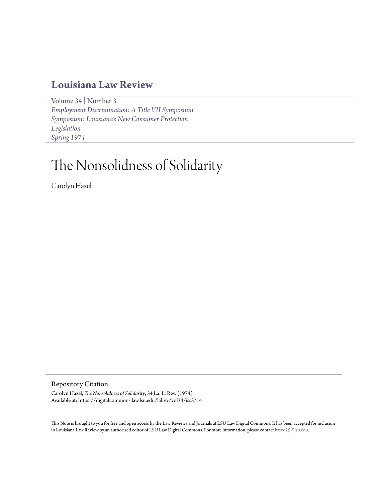## **[Louisiana Law Review](https://digitalcommons.law.lsu.edu/lalrev)**

[Volume 34](https://digitalcommons.law.lsu.edu/lalrev/vol34) | [Number 3](https://digitalcommons.law.lsu.edu/lalrev/vol34/iss3) *[Employment Discrimination: A Title VII Symposium](https://digitalcommons.law.lsu.edu/lalrev/vol34/iss3) [Symposium: Louisiana's New Consumer Protection](https://digitalcommons.law.lsu.edu/lalrev/vol34/iss3) [Legislation](https://digitalcommons.law.lsu.edu/lalrev/vol34/iss3) [Spring 1974](https://digitalcommons.law.lsu.edu/lalrev/vol34/iss3)*

# The Nonsolidness of Solidarity

Carolyn Hazel

Repository Citation

Carolyn Hazel, *The Nonsolidness of Solidarity*, 34 La. L. Rev. (1974) Available at: https://digitalcommons.law.lsu.edu/lalrev/vol34/iss3/14

This Note is brought to you for free and open access by the Law Reviews and Journals at LSU Law Digital Commons. It has been accepted for inclusion in Louisiana Law Review by an authorized editor of LSU Law Digital Commons. For more information, please contact [kreed25@lsu.edu](mailto:kreed25@lsu.edu).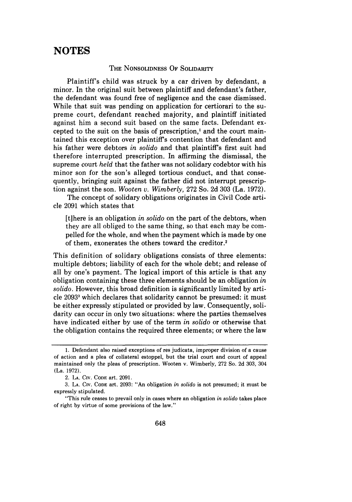## **NOTES**

#### THE **NONSOLIDNESS** OF SOLIDARITY

Plaintiff's child was struck by a car driven by defendant, a minor. In the original suit between plaintiff and defendant's father, the defendant was found free of negligence and the case dismissed. While that suit was pending on application for certiorari to the supreme court, defendant reached majority, and plaintiff initiated against him a second suit based on the same facts. Defendant excepted to the suit on the basis of prescription,' and the court maintained this exception over plaintiff's contention that defendant and his father were debtors *in solido* and that plaintiff's first suit had therefore interrupted prescription. In affirming the dismissal, the supreme court *held* that the father was not solidary codebtor with his minor son for the son's alleged tortious conduct, and that consequently, bringing suit against the father did not interrupt prescription against the son. *Wooten v. Wimberly,* 272 So. 2d 303 (La. 1972).

The concept of solidary obligations originates in Civil Code article 2091 which states that

[tihere is an obligation *in solido* on the part of the debtors, when they are all obliged to the same thing, so that each may be compelled for the whole, and when the payment which is made by one of them, exonerates the others toward the creditor.<sup>2</sup>

This definition of solidary obligations consists of three elements: multiple debtors; liability of each for the whole debt; and release of all by one's payment. The logical import of this article is that any obligation containing these three elements should be an obligation *in solido.* However, this broad definition is significantly limited by article 2093<sup>3</sup> which declares that solidarity cannot be presumed: it must be either expressly stipulated or provided by law. Consequently, solidarity can occur in only two situations: where the parties themselves have indicated either by use of the term *in solido* or otherwise that the obligation contains the required three elements; or where the law

<sup>1.</sup> Defendant also raised exceptions of res judicata, improper division of a cause of action and a plea of collateral estoppel, but the trial court and court of appeal maintained only the pleas of prescription. Wooten v. Wimberly, 272 So. 2d 303, 304 (La. 1972).

<sup>2.</sup> **LA. CIv. CODE** art. 2091.

<sup>3.</sup> **LA. CIv. CODE** art. 2093: "An obligation *in solido* is not presumed; it must be expressly stipulated.

<sup>&</sup>quot;This rule ceases to prevail only in cases where an obligation *in solido* takes place of right by virtue of some provisions of the law."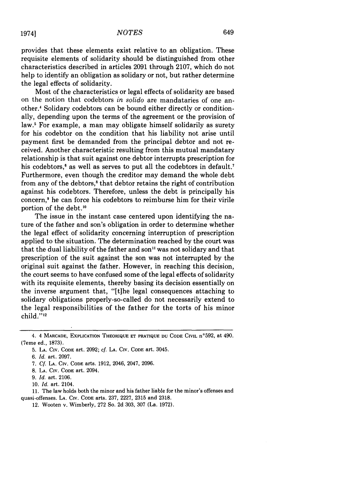provides that these elements exist relative to an obligation. These requisite elements of solidarity should be distinguished from other characteristics described in articles 2091 through 2107, which do not help to identify an obligation as solidary or not, but rather determine the legal effects of solidarity.

Most of the characteristics or legal effects of solidarity are based on the notion that codebtors *in solido* are mandataries of one another.4 Solidary codebtors can be bound either directly or conditionally, depending upon the terms of the agreement or the provision of law.<sup>5</sup> For example, a man may obligate himself solidarily as surety for his codebtor on the condition that his liability not arise until payment first be demanded from the principal debtor and not received. Another characteristic resulting from this mutual mandatary relationship is that suit against one debtor interrupts prescription for his codebtors,<sup>6</sup> as well as serves to put all the codebtors in default.<sup>7</sup> Furthermore, even though the creditor may demand the whole debt from any of the debtors,8 that debtor retains the right of contribution against his codebtors. Therefore, unless the debt is principally his concern,' he can force his codebtors to reimburse him for their virile portion of the debt.'0

The issue in the instant case centered upon identifying the nature of the father and son's obligation in order to determine whether the legal effect of solidarity concerning interruption of prescription applied to the situation. The determination reached by the court was that the dual liability of the father and son" was not solidary and that prescription of the suit against the son was not interrupted by the original suit against the father. However, in reaching this decision, the court seems to have confused some of the legal effects of solidarity with its requisite elements, thereby basing its decision essentially on the inverse argument that, "[tihe legal consequences attaching to solidary obligations properly-so-called do not necessarily extend to the legal responsibilities of the father for the torts of his minor child."<sup>12</sup>

11. The law holds both the minor and his father liable for the minor's offenses and quasi-offenses. LA. CIv. **CODE** arts. **237, 2227, 2315** and **2318.**

<sup>4. 4</sup> Marcade, Explication Theorique et pratique du Code Civil n°592, at 490. (7eme ed., 1873).

<sup>5.</sup> LA. Civ. CODE art. 2092; cf. LA. CIV. **CODE** art. 3045.

*<sup>6.</sup> Id.* art. 2097.

<sup>7.</sup> *Cf.* **LA.** CIv. **CODE** arts. **1912,** 2046, 2047, 2096.

<sup>8.</sup> LA. CIv. CODE art. 2094.

**<sup>9.</sup>** *Id.* art. 2106.

<sup>10.</sup> *Id.* art. 2104.

<sup>12.</sup> Wooten v. Wimberly, **272** So. **2d** 303, 307 (La. 1972).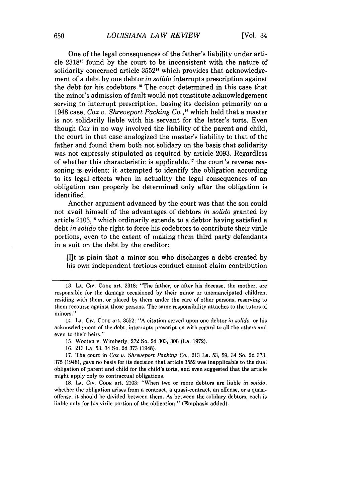One of the legal consequences of the father's liability under article 2318's found by the court to be inconsistent with the nature of solidarity concerned article 3552<sup>14</sup> which provides that acknowledgement of a debt by one debtor *in solido* interrupts prescription against the debt for his codebtors.<sup>15</sup> The court determined in this case that the minor's admission of fault would not constitute acknowledgement serving to interrupt prescription, basing its decision primarily on a 1948 case, *Cox v. Shreveport Packing Co.,'"* which held that a master is not solidarily liable with his servant for the latter's torts. Even though *Cox* in no way involved the liability of the parent and child, the court in that case analogized the master's liability to that of the father and found them both.not solidary on the basis that solidarity was not expressly stipulated as required by article 2093. Regardless of whether this characteristic is applicable," the court's reverse reasoning is evident: it attempted to identify the obligation according to its legal effects when in actuality the legal consequences of an obligation can properly be determined only after the obligation is identified.

Another argument advanced by the court was that the son could not avail himself of the advantages of debtors *in solido* granted by article 2103,<sup>18</sup> which ordinarily extends to a debtor having satisfied a debt *in solido* the right to force his codebtors to contribute their virile portions, even to the extent of making them third party defendants in a suit on the debt by the creditor:

[I]t is plain that a minor son who discharges a debt created by his own independent tortious conduct cannot claim contribution

15. Wooten v. Wimberly, 272 So. 2d 303, 306 (La. 1972).

16. 213 La. 53, 34 So. 2d 373 (1948).

17. The court in *Cox v. Shreveport Packing Co.,* 213 La. 53, 59, 34 So. 2d 373, 375 (1948), gave no basis for its decision that article 3552 was inapplicable to the dual obligation of parent and child for the child's torts, and even suggested that the article might apply only to contractual obligations.

18. **LA.** CIv. **CODE** art. 2103: "When two or more debtors are liable *in solido,* whether the obligation arises from a contract, a quasi-contract, an offense, or a quasioffense, it should be divided between them. As between the solidary debtors, each is liable only for his virile portion of the obligation." (Emphasis added).

**<sup>13.</sup> LA.** CIv. CODE art. 2318: "The father, or after his decease, the mother, are responsible for the damage occasioned by their minor or unemancipated children, residing with them, or placed by them under the care of other persons, reserving to them recourse against those persons. The same responsibility attaches to the tutors of minors."

<sup>14.</sup> **LA. Civ. CODE** art. 3552: "A citation served upon one debtor *in solido,* or his acknowledgment of the debt, interrupts prescription with regard to all the others and even to their heirs."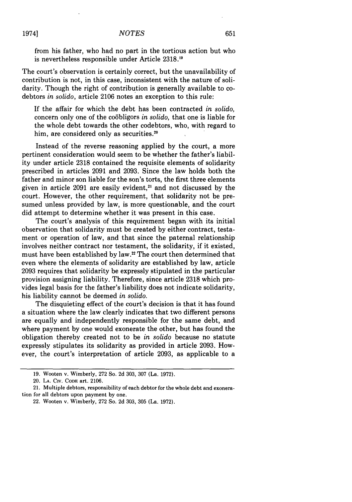from his father, who had no part in the tortious action but who is nevertheless responsible under Article 2318.<sup>19</sup>

The court's observation is certainly correct, but the unavailability of contribution is not, in this case, inconsistent with the nature of solidarity. Though the right of contribution is generally available to codebtors *in solido,* article 2106 notes an exception to this rule:

If the affair for which the debt has been contracted *in solido,* concern only one of the co6bligors *in solido,* that one is liable for the whole debt towards the other codebtors, who, with regard to him, are considered only as securities.<sup>20</sup>

Instead of the reverse reasoning applied by the court, a more pertinent consideration would seem to be whether the father's liability under article 2318 contained the requisite elements of solidarity prescribed in articles 2091 and 2093. Since the law holds both the father and minor son liable for the son's torts, the first three elements given in article  $2091$  are easily evident,<sup>21</sup> and not discussed by the court. However, the other requirement, that solidarity not be presumed unless provided by law, is more questionable, and the court did attempt to determine whether it was present in this case.

The court's analysis of this requirement began with its initial observation that solidarity must be created by either contract, testament or operation of law, and that since the paternal relationship involves neither contract nor testament, the solidarity, if it existed, must have been established by law.<sup>22</sup> The court then determined that even where the elements of solidarity are established by law, article 2093 requires that solidarity be expressly stipulated in the particular provision assigning liability. Therefore, since article 2318 which provides legal basis for the father's liability does not indicate solidarity, his liability cannot be deemed *in solido.*

The disquieting effect of the court's decision is that it has found a situation where the law clearly indicates that two different persons are equally and independently responsible for the same debt, and where payment by one would exonerate the other, but has found the obligation thereby created not to be *in solido* because no statute expressly stipulates its solidarity as provided in article 2093. However, the court's interpretation of article 2093, as applicable to a

20. **LA.** CIv. CODE art. 2106.

<sup>19.</sup> Wooten v. Wimberly, 272 So. 2d 303, 307 (La. 1972).

<sup>21.</sup> Multiple debtors, responsibility of each debtor for the whole debt and exoneration for all debtors upon payment by one.

<sup>22.</sup> Wooten v. Wimberly, 272 So. 2d 303, 305 (La. 1972).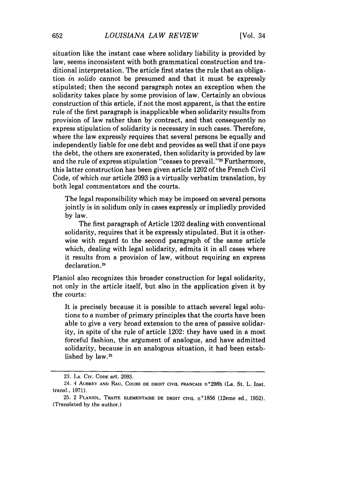situation like the instant case where solidary liability is provided by law, seems inconsistent with both grammatical construction and traditional interpretation. The article first states the rule that an obligation *in solido* cannot be presumed and that it must be expressly stipulated; then the second paragraph notes an exception when the solidarity takes place by some provision of law. Certainly an obvious construction of this article, if not the most apparent, is that the entire rule of the first paragraph is inapplicable when solidarity results from provision of law rather than by contract, and that consequently no express stipulation of solidarity is necessary in such cases. Therefore, where the law expressly requires that several persons be equally and independently liable for one debt and provides as well that if one pays the debt, the others are exonerated, then solidarity is provided by law and the rule of express stipulation "ceases to prevail."<sup>23</sup> Furthermore, this latter construction has been given article 1202 of the French Civil Code, of which our article 2093 is a virtually verbatim translation, by both legal commentators and the courts.

The legal responsibility which may be imposed on several persons jointly is in solidum only in cases expressly or impliedly provided by law.

The first paragraph of Article 1202 dealing with conventional solidarity, requires that it be expressly stipulated. But it is otherwise with regard to the second paragraph of the same article which, dealing with legal solidarity, admits it in all cases where it results from a provision of law, without requiring an express declaration.<sup>24</sup>

Planiol also recognizes this broader construction for legal solidarity, not only in the article itself, but also in the application given it by the courts:

It is precisely because it is possible to attach several legal solutions to a number of primary principles that the courts have been able to give a very broad extension to the area of passive solidarity, in spite of the rule of article 1202: they have used in a most forceful fashion, the argument of analogue, and have admitted solidarity, because in an analogous situation, it had been established by law.<sup>25</sup>

<sup>23.</sup> **LA.** CiV. **CODE** art. 2093.

<sup>24. 4</sup> **AUBREY AND RAU,** COURS **DE** DROIT **CIVIL** FRANCAIS n°298b (La. St. L. Inst. transl., 1971).

<sup>25. 2</sup> **PLANIOL, TRAITE ELEMENTAIRE DE DROIT CIVIL** n°1856 (12erne ed., 1952). (Translated **by** the author.)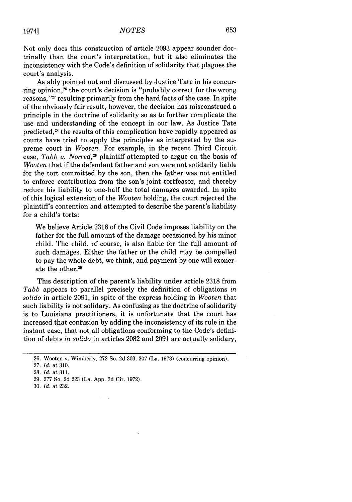Not only does this construction of article 2093 appear sounder doctrinally than the court's interpretation, but it also eliminates the inconsistency with the Code's definition of solidarity that plagues the court's analysis.

As ably pointed out and discussed by Justice Tate in his concurring opinion,<sup>26</sup> the court's decision is "probably correct for the wrong reasons, **"<sup>2</sup> <sup>7</sup>**resulting primarily from the hard facts of the case. In spite of the obviously fair result, however, the decision has misconstrued a principle in the doctrine of solidarity so as to further complicate the use and understanding of the concept in our law. As Justice Tate predicted,<sup>28</sup> the results of this complication have rapidly appeared as courts have tried to apply the principles as interpreted by the supreme court in *Wooten.* For example, in the recent Third Circuit case, *Tabb v. Norred,29* plaintiff attempted to argue on the basis of *Wooten* that if the defendant father and son were not solidarily liable for the tort committed by the son, then the father was not entitled to enforce contribution from the son's joint tortfeasor, and thereby reduce his liability to one-half the total damages awarded. In spite of this logical extension of the *Wooten* holding, the court rejected the plaintiff's contention and attempted to describe the parent's liability for a child's torts:

We believe Article 2318 of the Civil Code imposes liability on the father for the full amount of the damage occasioned by his minor child. The child, of course, is also liable for the full amount of such damages. Either the father or the child may be compelled to pay the whole debt, we think, and payment by one will exonerate the other.<sup>30</sup>

This description of the parent's liability under article 2318 from *Tabb* appears to parallel precisely the definition of obligations *in solido* in article 2091, in spite of the express holding in *Wooten* that such liability is not solidary. As confusing as the doctrine of solidarity is to Louisiana practitioners, it is unfortunate that the court has increased that confusion by adding the inconsistency of its rule in the instant case, that not all obligations conforming to the Code's definition of debts *in solido* in articles 2082 and 2091 are actually solidary,

19741

- 29. 277 So. 2d 223 (La. App. 3d Cir. 1972).
- 30. *Id.* at 232.

<sup>26.</sup> Wooten v. Wimberly, 272 So. 2d 303, 307 (La. 1973) (concurring opinion).

<sup>27.</sup> *Id.* at 310.

<sup>28.</sup> *Id.* at 311.